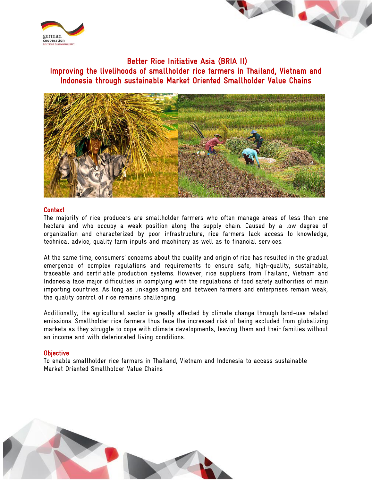



 Better Rice Initiative Asia (BRIA II) Improving the livelihoods of smallholder rice farmers in Thailand, Vietnam and Indonesia through sustainable Market Oriented Smallholder Value Chains



## Context

The majority of rice producers are smallholder farmers who often manage areas of less than one hectare and who occupy a weak position along the supply chain. Caused by a low degree of organization and characterized by poor infrastructure, rice farmers lack access to knowledge, technical advice, quality farm inputs and machinery as well as to financial services.

At the same time, consumers' concerns about the quality and origin of rice has resulted in the gradual emergence of complex regulations and requirements to ensure safe, high-quality, sustainable, traceable and certifiable production systems. However, rice suppliers from Thailand, Vietnam and Indonesia face major difficulties in complying with the regulations of food safety authorities of main importing countries. As long as linkages among and between farmers and enterprises remain weak, the quality control of rice remains challenging.

Additionally, the agricultural sector is greatly affected by climate change through land-use related emissions. Smallholder rice farmers thus face the increased risk of being excluded from globalizing markets as they struggle to cope with climate developments, leaving them and their families without an income and with deteriorated living conditions.

## **Objective**

To enable smallholder rice farmers in Thailand, Vietnam and Indonesia to access sustainable Market Oriented Smallholder Value Chains